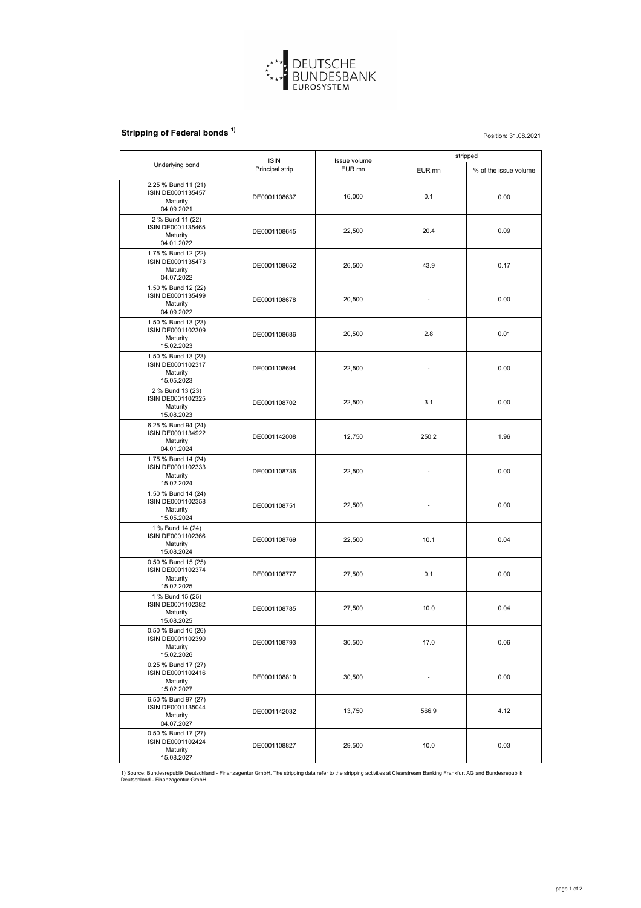

## **Stripping of Federal bonds<sup>1)</sup>**

|                                                                                  | <b>ISIN</b><br>Principal strip | Issue volume<br>EUR mn | stripped |                       |
|----------------------------------------------------------------------------------|--------------------------------|------------------------|----------|-----------------------|
| Underlying bond                                                                  |                                |                        | EUR mn   | % of the issue volume |
| 2.25 % Bund 11 (21)<br><b>ISIN DE0001135457</b><br>Maturity<br>04.09.2021        | DE0001108637                   | 16,000                 | 0.1      | 0.00                  |
| 2 % Bund 11 (22)<br>ISIN DE0001135465<br>Maturity<br>04.01.2022                  | DE0001108645                   | 22,500                 | 20.4     | 0.09                  |
| 1.75 % Bund 12 (22)<br><b>ISIN DE0001135473</b><br><b>Maturity</b><br>04.07.2022 | DE0001108652                   | 26,500                 | 43.9     | 0.17                  |
| 1.50 % Bund 12 (22)<br>ISIN DE0001135499<br><b>Maturity</b><br>04.09.2022        | DE0001108678                   | 20,500                 |          | 0.00                  |
| 1.50 % Bund 13 (23)<br>ISIN DE0001102309<br><b>Maturity</b><br>15.02.2023        | DE0001108686                   | 20,500                 | 2.8      | 0.01                  |
| 1.50 % Bund 13 (23)<br>ISIN DE0001102317<br><b>Maturity</b><br>15.05.2023        | DE0001108694                   | 22,500                 |          | 0.00                  |
| 2 % Bund 13 (23)<br>ISIN DE0001102325<br><b>Maturity</b><br>15.08.2023           | DE0001108702                   | 22,500                 | 3.1      | 0.00                  |
| 6.25 % Bund 94 (24)<br>ISIN DE0001134922<br>Maturity<br>04.01.2024               | DE0001142008                   | 12,750                 | 250.2    | 1.96                  |
| 1.75 % Bund 14 (24)<br>ISIN DE0001102333<br>Maturity<br>15.02.2024               | DE0001108736                   | 22,500                 |          | 0.00                  |
| 1.50 % Bund 14 (24)<br>ISIN DE0001102358<br>Maturity<br>15.05.2024               | DE0001108751                   | 22,500                 |          | 0.00                  |
| 1 % Bund 14 (24)<br>ISIN DE0001102366<br><b>Maturity</b><br>15.08.2024           | DE0001108769                   | 22,500                 | 10.1     | 0.04                  |
| 0.50 % Bund 15 (25)<br>ISIN DE0001102374<br>Maturity<br>15.02.2025               | DE0001108777                   | 27,500                 | 0.1      | 0.00                  |
| 1 % Bund 15 (25)<br>ISIN DE0001102382<br>Maturity<br>15.08.2025                  | DE0001108785                   | 27,500                 | 10.0     | 0.04                  |
| 0.50 % Bund 16 (26)<br>ISIN DE0001102390<br><b>Maturity</b><br>15.02.2026        | DE0001108793                   | 30,500                 | 17.0     | 0.06                  |
| 0.25 % Bund 17 (27)<br>ISIN DE0001102416<br><b>Maturity</b><br>15.02.2027        | DE0001108819                   | 30,500                 |          | 0.00                  |
| 6.50 % Bund 97 (27)<br><b>ISIN DE0001135044</b><br><b>Maturity</b><br>04.07.2027 | DE0001142032                   | 13,750                 | 566.9    | 4.12                  |
| 0.50 % Bund 17 (27)<br>ISIN DE0001102424<br>Maturity<br>15.08.2027               | DE0001108827                   | 29,500                 | 10.0     | 0.03                  |

Position: 31.08.2021

1) Source: Bundesrepublik Deutschland - Finanzagentur GmbH. The stripping data refer to the stripping activities at Clearstream Banking Frankfurt AG and Bundesrepublik Deutschland - Finanzagentur GmbH.